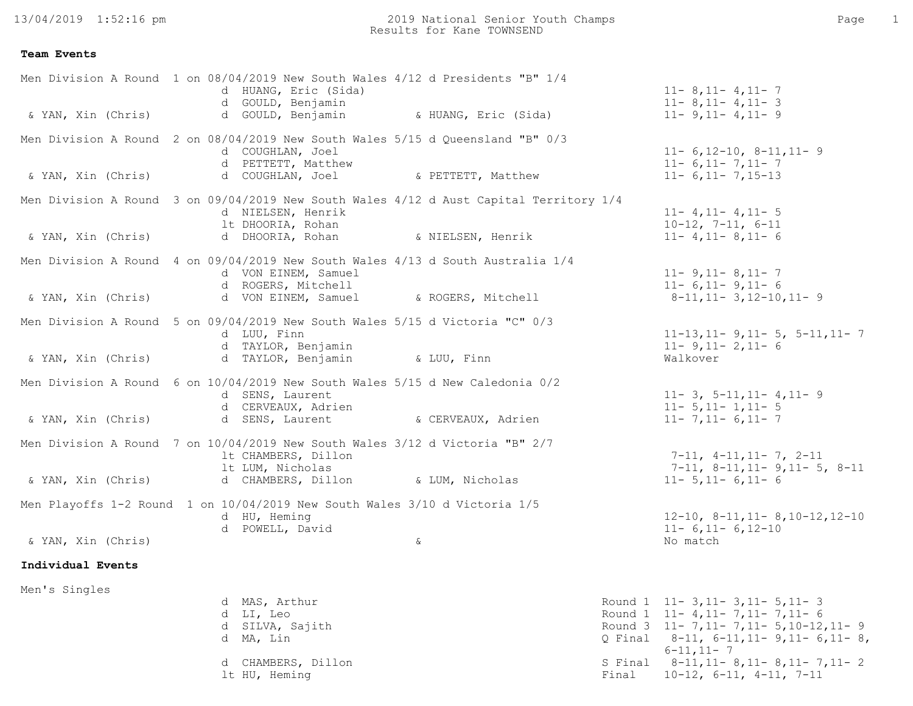13/04/2019 1:52:16 pm

## **Team Events**

|                    | Men Division A Round 1 on 08/04/2019 New South Wales 4/12 d Presidents "B" 1/4<br>d HUANG, Eric (Sida)                           | $11 - 8$ , $11 - 4$ , $11 - 7$                                              |
|--------------------|----------------------------------------------------------------------------------------------------------------------------------|-----------------------------------------------------------------------------|
| & YAN, Xin (Chris) | d GOULD, Benjamin<br>d GOULD, Benjamin<br>& HUANG, Eric (Sida)                                                                   | $11 - 8$ , 11 - 4, 11 - 3<br>$11 - 9, 11 - 4, 11 - 9$                       |
|                    | Men Division A Round 2 on 08/04/2019 New South Wales 5/15 d Queensland "B" 0/3<br>d COUGHLAN, Joel<br>d PETTETT, Matthew         | $11 - 6, 12 - 10, 8 - 11, 11 - 9$<br>$11 - 6, 11 - 7, 11 - 7$               |
| & YAN, Xin (Chris) | & PETTETT, Matthew<br>d COUGHLAN, Joel                                                                                           | $11 - 6, 11 - 7, 15 - 13$                                                   |
|                    | Men Division A Round 3 on 09/04/2019 New South Wales 4/12 d Aust Capital Territory 1/4<br>d NIELSEN, Henrik<br>lt DHOORIA, Rohan | $11 - 4, 11 - 4, 11 - 5$<br>$10-12, 7-11, 6-11$                             |
| & YAN, Xin (Chris) | d DHOORIA, Rohan<br>& NIELSEN, Henrik                                                                                            | $11 - 4, 11 - 8, 11 - 6$                                                    |
|                    | Men Division A Round 4 on 09/04/2019 New South Wales 4/13 d South Australia 1/4<br>d VON EINEM, Samuel<br>d ROGERS, Mitchell     | $11 - 9, 11 - 8, 11 - 7$<br>$11 - 6, 11 - 9, 11 - 6$                        |
| & YAN, Xin (Chris) | & ROGERS, Mitchell<br>d VON EINEM, Samuel                                                                                        | $8-11, 11-3, 12-10, 11-9$                                                   |
|                    | Men Division A Round 5 on 09/04/2019 New South Wales 5/15 d Victoria "C" 0/3<br>d LUU, Finn<br>d TAYLOR, Benjamin                | $11-13, 11-9, 11-5, 5-11, 11-7$<br>$11 - 9, 11 - 2, 11 - 6$                 |
| & YAN, Xin (Chris) | d TAYLOR, Benjamin ( & LUU, Finn                                                                                                 | Walkover                                                                    |
|                    | Men Division A Round 6 on 10/04/2019 New South Wales 5/15 d New Caledonia 0/2<br>d SENS, Laurent<br>d CERVEAUX, Adrien           | $11 - 3$ , $5 - 11$ , $11 - 4$ , $11 - 9$<br>$11 - 5$ , $11 - 1$ , $11 - 5$ |
| & YAN, Xin (Chris) | d SENS, Laurent (CERVEAUX, Adrien                                                                                                | $11 - 7, 11 - 6, 11 - 7$                                                    |
|                    | Men Division A Round 7 on 10/04/2019 New South Wales 3/12 d Victoria "B" 2/7<br>1t CHAMBERS, Dillon<br>It LUM, Nicholas          | $7-11, 4-11, 11- 7, 2-11$<br>$7-11, 8-11, 11-9, 11-5, 8-11$                 |
| & YAN, Xin (Chris) | d CHAMBERS, Dillon ( & LUM, Nicholas                                                                                             | $11 - 5, 11 - 6, 11 - 6$                                                    |
|                    | Men Playoffs 1-2 Round 1 on 10/04/2019 New South Wales 3/10 d Victoria 1/5<br>d HU, Heming<br>d POWELL, David                    | $12-10$ , $8-11$ , $11-8$ , $10-12$ , $12-10$<br>$11 - 6, 11 - 6, 12 - 10$  |
| & YAN, Xin (Chris) | ଙ                                                                                                                                | No match                                                                    |
| Individual Events  |                                                                                                                                  |                                                                             |
| Men's Singles      |                                                                                                                                  |                                                                             |
|                    | d MAS, Arthur                                                                                                                    | Round 1 11-3, 11-3, 11-5, 11-3                                              |

| ------------------ |       | $1.0$ $1.0$ $1.0$ $1.0$ $1.0$ $1.0$ $1.0$ $1.0$ $1.0$ $1.0$ $1.0$ $1.0$ $1.0$ $1.0$ |
|--------------------|-------|-------------------------------------------------------------------------------------|
| d LI, Leo          |       | Round 1 11-4,11-7,11-7,11-6                                                         |
| d SILVA, Sajith    |       | Round 3 $11 - 7$ , $11 - 7$ , $11 - 5$ , $10 - 12$ , $11 - 9$                       |
| d MA, Lin          |       | Q Final $8-11$ , $6-11$ , $11-9$ , $11-6$ , $11-8$ ,                                |
|                    |       | 6-11.11- 7                                                                          |
| d CHAMBERS, Dillon |       | S Final $8-11, 11-8, 11-8, 11-7, 11-2$                                              |
| 1t HU, Heming      | Final | 10-12, 6-11, 4-11, 7-11                                                             |